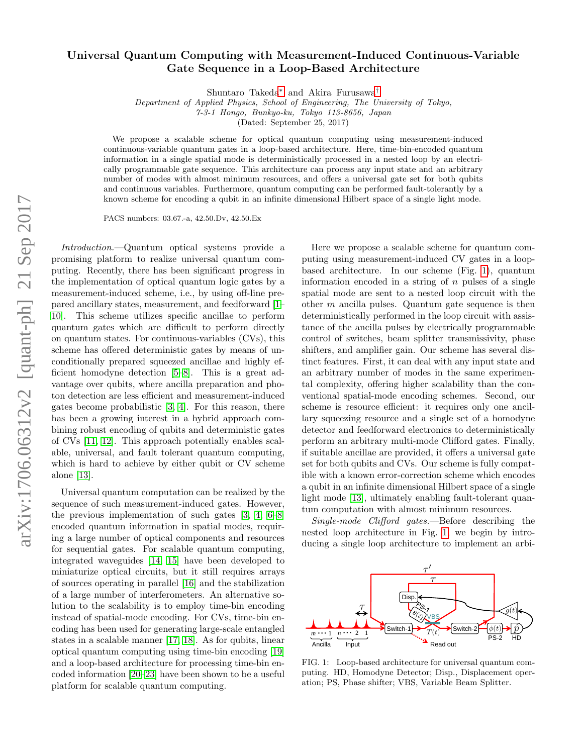## arXiv:1706.06312v2 [quant-ph] 21 Sep 2017 arXiv:1706.06312v2 [quant-ph] 21 Sep 2017

## Universal Quantum Computing with Measurement-Induced Continuous-Variable Gate Sequence in a Loop-Based Architecture

Shuntaro Takeda[∗](#page-3-0) and Akira Furusawa[†](#page-3-1)

Department of Applied Physics, School of Engineering, The University of Tokyo,

7-3-1 Hongo, Bunkyo-ku, Tokyo 113-8656, Japan

(Dated: September 25, 2017)

We propose a scalable scheme for optical quantum computing using measurement-induced continuous-variable quantum gates in a loop-based architecture. Here, time-bin-encoded quantum information in a single spatial mode is deterministically processed in a nested loop by an electrically programmable gate sequence. This architecture can process any input state and an arbitrary number of modes with almost minimum resources, and offers a universal gate set for both qubits and continuous variables. Furthermore, quantum computing can be performed fault-tolerantly by a known scheme for encoding a qubit in an infinite dimensional Hilbert space of a single light mode.

PACS numbers: 03.67.-a, 42.50.Dv, 42.50.Ex

Introduction.—Quantum optical systems provide a promising platform to realize universal quantum computing. Recently, there has been significant progress in the implementation of optical quantum logic gates by a measurement-induced scheme, i.e., by using off-line prepared ancillary states, measurement, and feedforward [\[1–](#page-3-2) [10\]](#page-4-0). This scheme utilizes specific ancillae to perform quantum gates which are difficult to perform directly on quantum states. For continuous-variables (CVs), this scheme has offered deterministic gates by means of unconditionally prepared squeezed ancillae and highly efficient homodyne detection [\[5–](#page-3-3)[8\]](#page-4-1). This is a great advantage over qubits, where ancilla preparation and photon detection are less efficient and measurement-induced gates become probabilistic [\[3,](#page-3-4) [4\]](#page-3-5). For this reason, there has been a growing interest in a hybrid approach combining robust encoding of qubits and deterministic gates of CVs [\[11,](#page-4-2) [12\]](#page-4-3). This approach potentially enables scalable, universal, and fault tolerant quantum computing, which is hard to achieve by either qubit or CV scheme alone [\[13\]](#page-4-4).

Universal quantum computation can be realized by the sequence of such measurement-induced gates. However, the previous implementation of such gates [\[3,](#page-3-4) [4,](#page-3-5) [6](#page-3-6)[–8\]](#page-4-1) encoded quantum information in spatial modes, requiring a large number of optical components and resources for sequential gates. For scalable quantum computing, integrated waveguides [\[14,](#page-4-5) [15\]](#page-4-6) have been developed to miniaturize optical circuits, but it still requires arrays of sources operating in parallel [\[16\]](#page-4-7) and the stabilization of a large number of interferometers. An alternative solution to the scalability is to employ time-bin encoding instead of spatial-mode encoding. For CVs, time-bin encoding has been used for generating large-scale entangled states in a scalable manner [\[17,](#page-4-8) [18\]](#page-4-9). As for qubits, linear optical quantum computing using time-bin encoding [\[19\]](#page-4-10) and a loop-based architecture for processing time-bin encoded information [\[20–](#page-4-11)[23\]](#page-4-12) have been shown to be a useful platform for scalable quantum computing.

Here we propose a scalable scheme for quantum computing using measurement-induced CV gates in a loopbased architecture. In our scheme (Fig. [1\)](#page-0-0), quantum information encoded in a string of  $n$  pulses of a single spatial mode are sent to a nested loop circuit with the other  $m$  ancilla pulses. Quantum gate sequence is then deterministically performed in the loop circuit with assistance of the ancilla pulses by electrically programmable control of switches, beam splitter transmissivity, phase shifters, and amplifier gain. Our scheme has several distinct features. First, it can deal with any input state and an arbitrary number of modes in the same experimental complexity, offering higher scalability than the conventional spatial-mode encoding schemes. Second, our scheme is resource efficient: it requires only one ancillary squeezing resource and a single set of a homodyne detector and feedforward electronics to deterministically perform an arbitrary multi-mode Clifford gates. Finally, if suitable ancillae are provided, it offers a universal gate set for both qubits and CVs. Our scheme is fully compatible with a known error-correction scheme which encodes a qubit in an infinite dimensional Hilbert space of a single light mode [\[13\]](#page-4-4), ultimately enabling fault-tolerant quantum computation with almost minimum resources.

Single-mode Clifford gates.—Before describing the nested loop architecture in Fig. [1,](#page-0-0) we begin by introducing a single loop architecture to implement an arbi-



<span id="page-0-0"></span>FIG. 1: Loop-based architecture for universal quantum computing. HD, Homodyne Detector; Disp., Displacement operation; PS, Phase shifter; VBS, Variable Beam Splitter.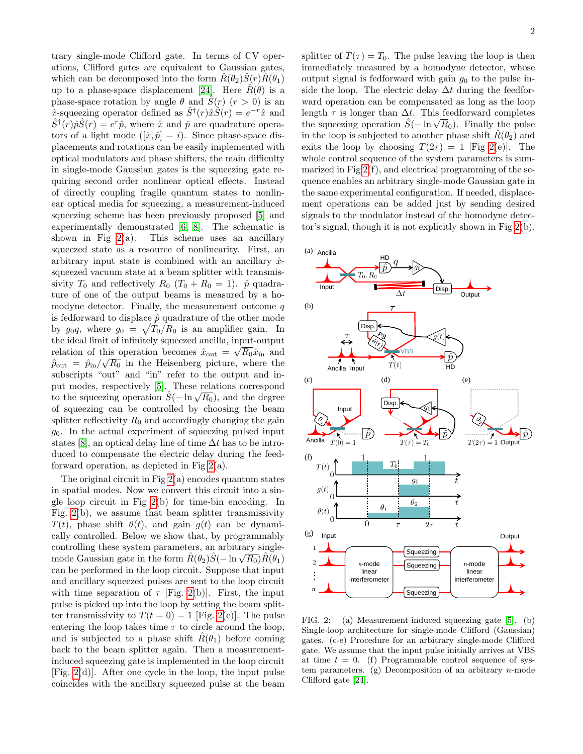trary single-mode Clifford gate. In terms of CV operations, Clifford gates are equivalent to Gaussian gates, which can be decomposed into the form  $\hat{R}(\theta_2)\hat{S}(r)\hat{R}(\theta_1)$ up to a phase-space displacement [\[24\]](#page-4-13). Here  $R(\theta)$  is a phase-space rotation by angle  $\theta$  and  $\hat{S}(r)$   $(r > 0)$  is an x-squeezing operator defined as  $\hat{S}^{\dagger}(r)\hat{x}\hat{S}(r) = e^{-r}\hat{x}$  and  $\hat{S}^{\dagger}(r)\hat{p}\hat{S}(r) = e^{r}\hat{p}$ , where  $\hat{x}$  and  $\hat{p}$  are quadrature operators of a light mode  $([\hat{x}, \hat{p}] = i)$ . Since phase-space displacements and rotations can be easily implemented with optical modulators and phase shifters, the main difficulty in single-mode Gaussian gates is the squeezing gate requiring second order nonlinear optical effects. Instead of directly coupling fragile quantum states to nonlinear optical media for squeezing, a measurement-induced squeezing scheme has been previously proposed [\[5\]](#page-3-3) and experimentally demonstrated [\[6,](#page-3-6) [8\]](#page-4-1). The schematic is shown in Fig  $2(a)$ . This scheme uses an ancillary squeezed state as a resource of nonlinearity. First, an arbitrary input state is combined with an ancillary  $\hat{x}$ squeezed vacuum state at a beam splitter with transmissivity  $T_0$  and reflectively  $R_0$   $(T_0 + R_0 = 1)$ .  $\hat{p}$  quadrature of one of the output beams is measured by a homodyne detector. Finally, the measurement outcome  $q$ is fedforward to displace  $\hat{p}$  quadrature of the other mode by  $g_0 q$ , where  $g_0 = \sqrt{T_0/R_0}$  is an amplifier gain. In the ideal limit of infinitely squeezed ancilla, input-output relation of this operation becomes  $\hat{x}_{\text{out}} = \sqrt{R_0} \hat{x}_{\text{in}}$  and  $\hat{p}_{\text{out}} = \hat{p}_{\text{in}} / \sqrt{R_0}$  in the Heisenberg picture, where the subscripts "out" and "in" refer to the output and input modes, respectively [\[5\]](#page-3-3). These relations correspond put modes, respectively [o]. These relations correspond<br>to the squeezing operation  $\hat{S}(-\ln{\sqrt{R_0}})$ , and the degree of squeezing can be controlled by choosing the beam splitter reflectivity  $R_0$  and accordingly changing the gain  $g_0$ . In the actual experiment of squeezing pulsed input states [\[8\]](#page-4-1), an optical delay line of time  $\Delta t$  has to be introduced to compensate the electric delay during the feedforward operation, as depicted in Fig  $2(a)$ .

The original circuit in Fig  $2(a)$  encodes quantum states in spatial modes. Now we convert this circuit into a single loop circuit in Fig [2\(](#page-1-0)b) for time-bin encoding. In Fig.  $2(b)$ , we assume that beam splitter transmissivity  $T(t)$ , phase shift  $\theta(t)$ , and gain  $q(t)$  can be dynamically controlled. Below we show that, by programmably controlling these system parameters, an arbitrary singlecontrolling these system parameters, an arbitrary single-<br>mode Gaussian gate in the form  $\hat{R}(\theta_2)\hat{S}(-\ln{\sqrt{R_0}})\hat{R}(\theta_1)$ can be performed in the loop circuit. Suppose that input and ancillary squeezed pulses are sent to the loop circuit with time separation of  $\tau$  [Fig. [2\(](#page-1-0)b)]. First, the input pulse is picked up into the loop by setting the beam splitter transmissivity to  $T(t = 0) = 1$  [Fig. [2\(](#page-1-0)c)]. The pulse entering the loop takes time  $\tau$  to circle around the loop, and is subjected to a phase shift  $\hat{R}(\theta_1)$  before coming back to the beam splitter again. Then a measurementinduced squeezing gate is implemented in the loop circuit [Fig. [2\(](#page-1-0)d)]. After one cycle in the loop, the input pulse coincides with the ancillary squeezed pulse at the beam

splitter of  $T(\tau) = T_0$ . The pulse leaving the loop is then immediately measured by a homodyne detector, whose output signal is fedforward with gain  $g_0$  to the pulse inside the loop. The electric delay  $\Delta t$  during the feedforward operation can be compensated as long as the loop length  $\tau$  is longer than  $\Delta t$ . This feedforward completes the squeezing operation  $\hat{S}(-\ln{\sqrt{R_0}})$ . Finally the pulse in the loop is subjected to another phase shift  $\hat{R}(\theta_2)$  and exits the loop by choosing  $T(2\tau) = 1$  [Fig [2\(](#page-1-0)e)]. The whole control sequence of the system parameters is summarized in Fig  $2(f)$ , and electrical programming of the sequence enables an arbitrary single-mode Gaussian gate in the same experimental configuration. If needed, displacement operations can be added just by sending desired signals to the modulator instead of the homodyne detector's signal, though it is not explicitly shown in Fig [2\(](#page-1-0)b).



<span id="page-1-0"></span>FIG. 2: (a) Measurement-induced squeezing gate [\[5\]](#page-3-3). (b) Single-loop architecture for single-mode Clifford (Gaussian) gates. (c-e) Procedure for an arbitrary single-mode Clifford gate. We assume that the input pulse initially arrives at VBS at time  $t = 0$ . (f) Programmable control sequence of system parameters. (g) Decomposition of an arbitrary  $n$ -mode Clifford gate [\[24\]](#page-4-13).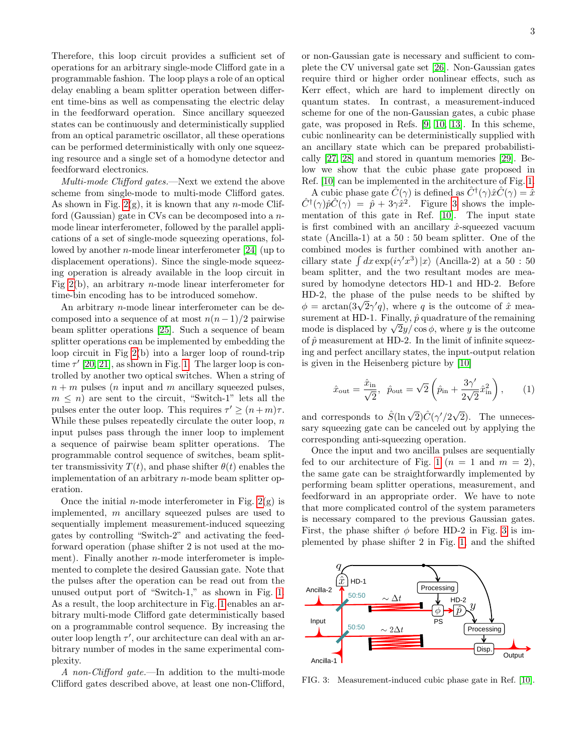Therefore, this loop circuit provides a sufficient set of operations for an arbitrary single-mode Clifford gate in a programmable fashion. The loop plays a role of an optical delay enabling a beam splitter operation between different time-bins as well as compensating the electric delay in the feedforward operation. Since ancillary squeezed states can be continuously and deterministically supplied from an optical parametric oscillator, all these operations can be performed deterministically with only one squeezing resource and a single set of a homodyne detector and feedforward electronics.

Multi-mode Clifford gates.—Next we extend the above scheme from single-mode to multi-mode Clifford gates. As shown in Fig.  $2(g)$ , it is known that any *n*-mode Clifford (Gaussian) gate in CVs can be decomposed into a nmode linear interferometer, followed by the parallel applications of a set of single-mode squeezing operations, followed by another  $n$ -mode linear interferometer [\[24\]](#page-4-13) (up to displacement operations). Since the single-mode squeezing operation is already available in the loop circuit in Fig  $2(b)$ , an arbitrary *n*-mode linear interferometer for time-bin encoding has to be introduced somehow.

An arbitrary n-mode linear interferometer can be decomposed into a sequence of at most  $n(n-1)/2$  pairwise beam splitter operations [\[25\]](#page-4-14). Such a sequence of beam splitter operations can be implemented by embedding the loop circuit in Fig [2\(](#page-1-0)b) into a larger loop of round-trip time  $\tau'$  [\[20,](#page-4-11) [21\]](#page-4-15), as shown in Fig. [1.](#page-0-0) The larger loop is controlled by another two optical switches. When a string of  $n + m$  pulses (*n* input and *m* ancillary squeezed pulses,  $m \leq n$ ) are sent to the circuit, "Switch-1" lets all the pulses enter the outer loop. This requires  $\tau' \ge (n+m)\tau$ . While these pulses repeatedly circulate the outer loop,  $n$ input pulses pass through the inner loop to implement a sequence of pairwise beam splitter operations. The programmable control sequence of switches, beam splitter transmissivity  $T(t)$ , and phase shifter  $\theta(t)$  enables the implementation of an arbitrary n-mode beam splitter operation.

Once the initial *n*-mode interferometer in Fig.  $2(g)$  is implemented, m ancillary squeezed pulses are used to sequentially implement measurement-induced squeezing gates by controlling "Switch-2" and activating the feedforward operation (phase shifter 2 is not used at the moment). Finally another  $n$ -mode interferometer is implemented to complete the desired Gaussian gate. Note that the pulses after the operation can be read out from the unused output port of "Switch-1," as shown in Fig. [1.](#page-0-0) As a result, the loop architecture in Fig. [1](#page-0-0) enables an arbitrary multi-mode Clifford gate deterministically based on a programmable control sequence. By increasing the outer loop length  $\tau'$ , our architecture can deal with an arbitrary number of modes in the same experimental complexity.

A non-Clifford gate.—In addition to the multi-mode Clifford gates described above, at least one non-Clifford,

or non-Gaussian gate is necessary and sufficient to complete the CV universal gate set [\[26\]](#page-4-16). Non-Gaussian gates require third or higher order nonlinear effects, such as Kerr effect, which are hard to implement directly on quantum states. In contrast, a measurement-induced scheme for one of the non-Gaussian gates, a cubic phase gate, was proposed in Refs. [\[9,](#page-4-17) [10,](#page-4-0) [13\]](#page-4-4). In this scheme, cubic nonlinearity can be deterministically supplied with an ancillary state which can be prepared probabilistically [\[27,](#page-4-18) [28\]](#page-4-19) and stored in quantum memories [\[29\]](#page-4-20). Below we show that the cubic phase gate proposed in Ref. [\[10\]](#page-4-0) can be implemented in the architecture of Fig. [1.](#page-0-0)

A cubic phase gate  $\hat{C}(\gamma)$  is defined as  $\hat{C}^{\dagger}(\gamma)\hat{x}\hat{C}(\gamma) = \hat{x}$  $\hat{C}^{\dagger}(\gamma)\hat{p}\hat{C}(\gamma) = \hat{p} + 3\gamma\hat{x}^2$  $\hat{C}^{\dagger}(\gamma)\hat{p}\hat{C}(\gamma) = \hat{p} + 3\gamma\hat{x}^2$  $\hat{C}^{\dagger}(\gamma)\hat{p}\hat{C}(\gamma) = \hat{p} + 3\gamma\hat{x}^2$ . Figure 3 shows the implementation of this gate in Ref. [\[10\]](#page-4-0). The input state is first combined with an ancillary  $\hat{x}$ -squeezed vacuum state (Ancilla-1) at a 50 : 50 beam splitter. One of the combined modes is further combined with another ancillary state  $\int dx \exp(i\gamma' x^3) |x\rangle$  (Ancilla-2) at a 50 : 50 beam splitter, and the two resultant modes are measured by homodyne detectors HD-1 and HD-2. Before HD-2, the phase of the pulse needs to be shifted by  $\mu$ D-2, the phase of the pulse needs to be shifted by  $\phi = \arctan(3\sqrt{2}\gamma'q)$ , where q is the outcome of  $\hat{x}$  measurement at HD-1. Finally,  $\hat{p}$  quadrature of the remaining surement at HD-1. Finally, p quadrature of the remaining<br>mode is displaced by  $\sqrt{2}y/\cos\phi$ , where y is the outcome of  $\hat{p}$  measurement at HD-2. In the limit of infinite squeezing and perfect ancillary states, the input-output relation is given in the Heisenberg picture by [\[10\]](#page-4-0)

$$
\hat{x}_{\text{out}} = \frac{\hat{x}_{\text{in}}}{\sqrt{2}}, \ \ \hat{p}_{\text{out}} = \sqrt{2} \left( \hat{p}_{\text{in}} + \frac{3\gamma'}{2\sqrt{2}} \hat{x}_{\text{in}}^2 \right), \tag{1}
$$

and corresponds to  $\hat{S}(\ln \sqrt{2})\hat{C}(\gamma'/2\sqrt{2})$ 2). The unnecessary squeezing gate can be canceled out by applying the corresponding anti-squeezing operation.

Once the input and two ancilla pulses are sequentially fed to our architecture of Fig. [1](#page-0-0) ( $n = 1$  and  $m = 2$ ), the same gate can be straightforwardly implemented by performing beam splitter operations, measurement, and feedforward in an appropriate order. We have to note that more complicated control of the system parameters is necessary compared to the previous Gaussian gates. First, the phase shifter  $\phi$  before HD-2 in Fig. [3](#page-2-0) is implemented by phase shifter 2 in Fig. [1,](#page-0-0) and the shifted



<span id="page-2-0"></span>FIG. 3: Measurement-induced cubic phase gate in Ref. [\[10\]](#page-4-0).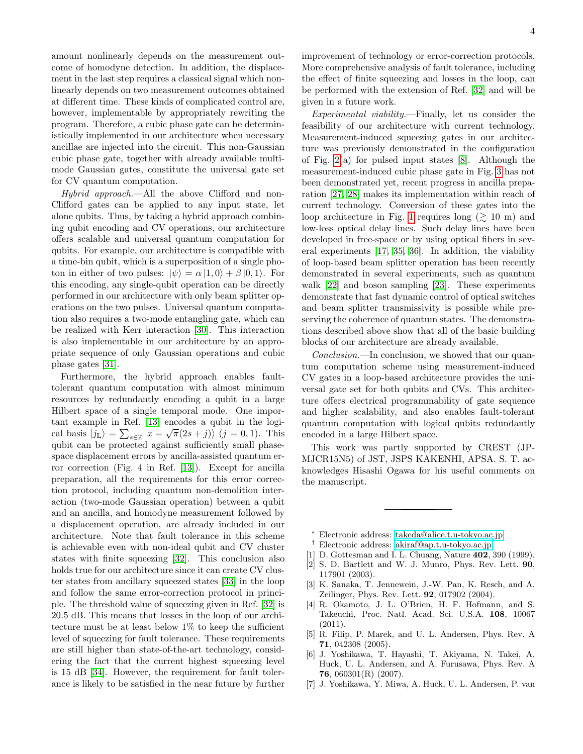amount nonlinearly depends on the measurement outcome of homodyne detection. In addition, the displacement in the last step requires a classical signal which nonlinearly depends on two measurement outcomes obtained at different time. These kinds of complicated control are, however, implementable by appropriately rewriting the program. Therefore, a cubic phase gate can be deterministically implemented in our architecture when necessary ancillae are injected into the circuit. This non-Gaussian cubic phase gate, together with already available multimode Gaussian gates, constitute the universal gate set for CV quantum computation.

Hybrid approach.—All the above Clifford and non-Clifford gates can be applied to any input state, let alone qubits. Thus, by taking a hybrid approach combining qubit encoding and CV operations, our architecture offers scalable and universal quantum computation for qubits. For example, our architecture is compatible with a time-bin qubit, which is a superposition of a single photon in either of two pulses:  $|\psi\rangle = \alpha |1,0\rangle + \beta |0,1\rangle$ . For this encoding, any single-qubit operation can be directly performed in our architecture with only beam splitter operations on the two pulses. Universal quantum computation also requires a two-mode entangling gate, which can be realized with Kerr interaction [\[30\]](#page-4-21). This interaction is also implementable in our architecture by an appropriate sequence of only Gaussian operations and cubic phase gates [\[31\]](#page-4-22).

Furthermore, the hybrid approach enables faulttolerant quantum computation with almost minimum resources by redundantly encoding a qubit in a large Hilbert space of a single temporal mode. One impor-tant example in Ref. [\[13\]](#page-4-4) encodes a qubit in the logical basis  $|j_{\text{L}}\rangle = \sum_{s\in\mathbb{Z}}|x=\sqrt{\pi}(2s+j)\rangle$   $(j=0,1)$ . This qubit can be protected against sufficiently small phasespace displacement errors by ancilla-assisted quantum error correction (Fig. 4 in Ref. [\[13\]](#page-4-4)). Except for ancilla preparation, all the requirements for this error correction protocol, including quantum non-demolition interaction (two-mode Gaussian operation) between a qubit and an ancilla, and homodyne measurement followed by a displacement operation, are already included in our architecture. Note that fault tolerance in this scheme is achievable even with non-ideal qubit and CV cluster states with finite squeezing [\[32\]](#page-4-23). This conclusion also holds true for our architecture since it can create CV cluster states from ancillary squeezed states [\[33\]](#page-4-24) in the loop and follow the same error-correction protocol in principle. The threshold value of squeezing given in Ref. [\[32\]](#page-4-23) is 20.5 dB. This means that losses in the loop of our architecture must be at least below 1% to keep the sufficient level of squeezing for fault tolerance. These requirements are still higher than state-of-the-art technology, considering the fact that the current highest squeezing level is 15 dB [\[34\]](#page-4-25). However, the requirement for fault tolerance is likely to be satisfied in the near future by further

improvement of technology or error-correction protocols. More comprehensive analysis of fault tolerance, including the effect of finite squeezing and losses in the loop, can be performed with the extension of Ref. [\[32\]](#page-4-23) and will be given in a future work.

Experimental viability.—Finally, let us consider the feasibility of our architecture with current technology. Measurement-induced squeezing gates in our architecture was previously demonstrated in the configuration of Fig. [2\(](#page-1-0)a) for pulsed input states [\[8\]](#page-4-1). Although the measurement-induced cubic phase gate in Fig. [3](#page-2-0) has not been demonstrated yet, recent progress in ancilla preparation [\[27,](#page-4-18) [28\]](#page-4-19) makes its implementation within reach of current technology. Conversion of these gates into the loop architecture in Fig. [1](#page-0-0) requires long  $(\gtrsim 10 \text{ m})$  and low-loss optical delay lines. Such delay lines have been developed in free-space or by using optical fibers in several experiments [\[17,](#page-4-8) [35,](#page-4-26) [36\]](#page-4-27). In addition, the viability of loop-based beam splitter operation has been recently demonstrated in several experiments, such as quantum walk [\[22\]](#page-4-28) and boson sampling [\[23\]](#page-4-12). These experiments demonstrate that fast dynamic control of optical switches and beam splitter transmissivity is possible while preserving the coherence of quantum states. The demonstrations described above show that all of the basic building blocks of our architecture are already available.

Conclusion.—In conclusion, we showed that our quantum computation scheme using measurement-induced CV gates in a loop-based architecture provides the universal gate set for both qubits and CVs. This architecture offers electrical programmability of gate sequence and higher scalability, and also enables fault-tolerant quantum computation with logical qubits redundantly encoded in a large Hilbert space.

This work was partly supported by CREST (JP-MJCR15N5) of JST, JSPS KAKENHI, APSA. S. T. acknowledges Hisashi Ogawa for his useful comments on the manuscript.

- <span id="page-3-0"></span><sup>∗</sup> Electronic address: [takeda@alice.t.u-tokyo.ac.jp](mailto:takeda@alice.t.u-tokyo.ac.jp)
- <span id="page-3-1"></span>† Electronic address: [akiraf@ap.t.u-tokyo.ac.jp](mailto:akiraf@ap.t.u-tokyo.ac.jp)
- <span id="page-3-2"></span>[1] D. Gottesman and I. L. Chuang, Nature **402**, 390 (1999).
- [2] S. D. Bartlett and W. J. Munro, Phys. Rev. Lett. 90, 117901 (2003).
- <span id="page-3-4"></span>[3] K. Sanaka, T. Jennewein, J.-W. Pan, K. Resch, and A. Zeilinger, Phys. Rev. Lett. 92, 017902 (2004).
- <span id="page-3-5"></span>[4] R. Okamoto, J. L. O'Brien, H. F. Hofmann, and S. Takeuchi, Proc. Natl. Acad. Sci. U.S.A. 108, 10067 (2011).
- <span id="page-3-3"></span>[5] R. Filip, P. Marek, and U. L. Andersen, Phys. Rev. A 71, 042308 (2005).
- <span id="page-3-6"></span>[6] J. Yoshikawa, T. Hayashi, T. Akiyama, N. Takei, A. Huck, U. L. Andersen, and A. Furusawa, Phys. Rev. A 76, 060301(R) (2007).
- [7] J. Yoshikawa, Y. Miwa, A. Huck, U. L. Andersen, P. van